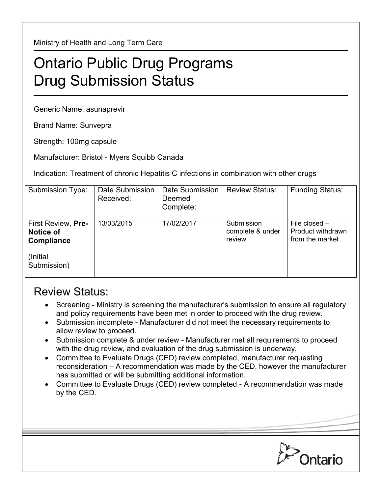Ministry of Health and Long Term Care

## Ontario Public Drug Programs Drug Submission Status

Generic Name: asunaprevir

Brand Name: Sunvepra

Strength: 100mg capsule

Manufacturer: Bristol - Myers Squibb Canada

Indication: Treatment of chronic Hepatitis C infections in combination with other drugs

| Submission Type:                                     | Date Submission<br>Received: | Date Submission<br>Deemed<br>Complete: | <b>Review Status:</b>                    | <b>Funding Status:</b>                                  |
|------------------------------------------------------|------------------------------|----------------------------------------|------------------------------------------|---------------------------------------------------------|
| First Review, Pre-<br><b>Notice of</b><br>Compliance | 13/03/2015                   | 17/02/2017                             | Submission<br>complete & under<br>review | File closed $-$<br>Product withdrawn<br>from the market |
| (Initial)<br>Submission)                             |                              |                                        |                                          |                                                         |

## Review Status:

- Screening Ministry is screening the manufacturer's submission to ensure all regulatory and policy requirements have been met in order to proceed with the drug review.
- Submission incomplete Manufacturer did not meet the necessary requirements to allow review to proceed.
- Submission complete & under review Manufacturer met all requirements to proceed with the drug review, and evaluation of the drug submission is underway.
- Committee to Evaluate Drugs (CED) review completed, manufacturer requesting reconsideration – A recommendation was made by the CED, however the manufacturer has submitted or will be submitting additional information.
- Committee to Evaluate Drugs (CED) review completed A recommendation was made by the CED.